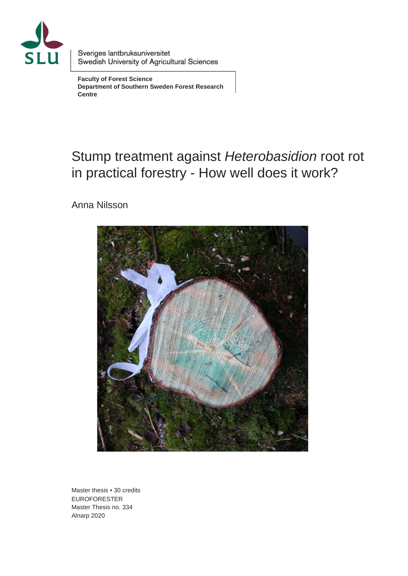

Sveriges lantbruksuniversitet Swedish University of Agricultural Sciences

**Faculty of Forest Science Department of Southern Sweden Forest Research Centre**

# Stump treatment against *Heterobasidion* root rot in practical forestry - How well does it work?

Anna Nilsson



Master thesis • 30 credits EUROFORESTER Master Thesis no. 334 Alnarp 2020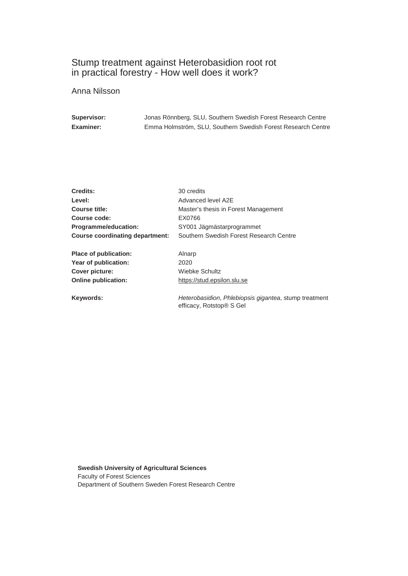#### Stump treatment against Heterobasidion root rot in practical forestry - How well does it work?

Anna Nilsson

| Supervisor:      | Jonas Rönnberg, SLU, Southern Swedish Forest Research Centre |
|------------------|--------------------------------------------------------------|
| <b>Examiner:</b> | Emma Holmström, SLU, Southern Swedish Forest Research Centre |

| Credits:                               | 30 credits                                                                        |
|----------------------------------------|-----------------------------------------------------------------------------------|
| Level:                                 | Advanced level A2E                                                                |
| Course title:                          | Master's thesis in Forest Management                                              |
| Course code:                           | EX0766                                                                            |
| Programme/education:                   | SY001 Jägmästarprogrammet                                                         |
| <b>Course coordinating department:</b> | Southern Swedish Forest Research Centre                                           |
| Place of publication:                  | Alnarp                                                                            |
| Year of publication:                   | 2020                                                                              |
| Cover picture:                         | Wiebke Schultz                                                                    |
| <b>Online publication:</b>             | https://stud.epsilon.slu.se                                                       |
| Keywords:                              | Heterobasidion, Phlebiopsis gigantea, stump treatment<br>efficacy, Rotstop® S Gel |

**Swedish University of Agricultural Sciences** Faculty of Forest Sciences Department of Southern Sweden Forest Research Centre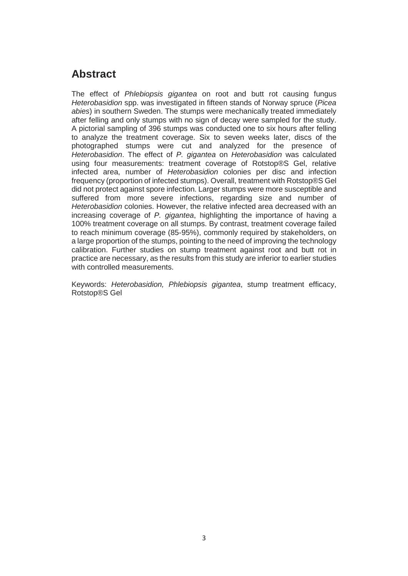## **Abstract**

The effect of *Phlebiopsis gigantea* on root and butt rot causing fungus *Heterobasidion* spp. was investigated in fifteen stands of Norway spruce (*Picea abies*) in southern Sweden. The stumps were mechanically treated immediately after felling and only stumps with no sign of decay were sampled for the study. A pictorial sampling of 396 stumps was conducted one to six hours after felling to analyze the treatment coverage. Six to seven weeks later, discs of the photographed stumps were cut and analyzed for the presence of *Heterobasidion*. The effect of *P. gigantea* on *Heterobasidion* was calculated using four measurements: treatment coverage of Rotstop®S Gel, relative infected area, number of *Heterobasidion* colonies per disc and infection frequency (proportion of infected stumps). Overall, treatment with Rotstop®S Gel did not protect against spore infection. Larger stumps were more susceptible and suffered from more severe infections, regarding size and number of *Heterobasidion* colonies. However, the relative infected area decreased with an increasing coverage of *P. gigantea*, highlighting the importance of having a 100% treatment coverage on all stumps. By contrast, treatment coverage failed to reach minimum coverage (85-95%), commonly required by stakeholders, on a large proportion of the stumps, pointing to the need of improving the technology calibration. Further studies on stump treatment against root and butt rot in practice are necessary, as the results from this study are inferior to earlier studies with controlled measurements.

Keywords: *Heterobasidion, Phlebiopsis gigantea*, stump treatment efficacy, Rotstop®S Gel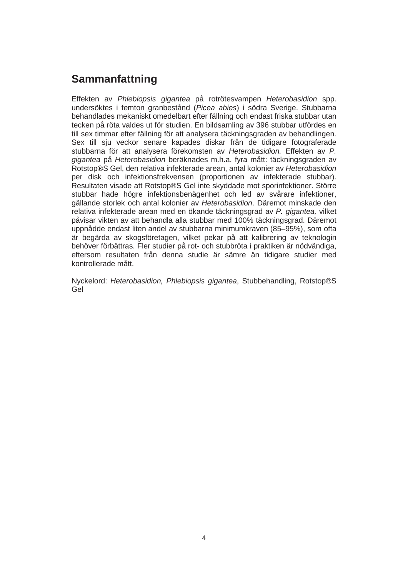## **Sammanfattning**

Effekten av *Phlebiopsis gigantea* på rotrötesvampen *Heterobasidion* spp. undersöktes i femton granbestånd (*Picea abies*) i södra Sverige. Stubbarna behandlades mekaniskt omedelbart efter fällning och endast friska stubbar utan tecken på röta valdes ut för studien. En bildsamling av 396 stubbar utfördes en till sex timmar efter fällning för att analysera täckningsgraden av behandlingen. Sex till sju veckor senare kapades diskar från de tidigare fotograferade stubbarna för att analysera förekomsten av *Heterobasidion.* Effekten av *P. gigantea* på *Heterobasidion* beräknades m.h.a. fyra mått: täckningsgraden av Rotstop®S Gel, den relativa infekterade arean, antal kolonier av *Heterobasidion* per disk och infektionsfrekvensen (proportionen av infekterade stubbar). Resultaten visade att Rotstop®S Gel inte skyddade mot sporinfektioner. Större stubbar hade högre infektionsbenägenhet och led av svårare infektioner, gällande storlek och antal kolonier av *Heterobasidion*. Däremot minskade den relativa infekterade arean med en ökande täckningsgrad av *P. gigantea,* vilket påvisar vikten av att behandla alla stubbar med 100% täckningsgrad. Däremot uppnådde endast liten andel av stubbarna minimumkraven (85–95%), som ofta är begärda av skogsföretagen, vilket pekar på att kalibrering av teknologin behöver förbättras. Fler studier på rot- och stubbröta i praktiken är nödvändiga, eftersom resultaten från denna studie är sämre än tidigare studier med kontrollerade mått.

Nyckelord: *Heterobasidion, Phlebiopsis gigantea*, Stubbehandling, Rotstop®S Gel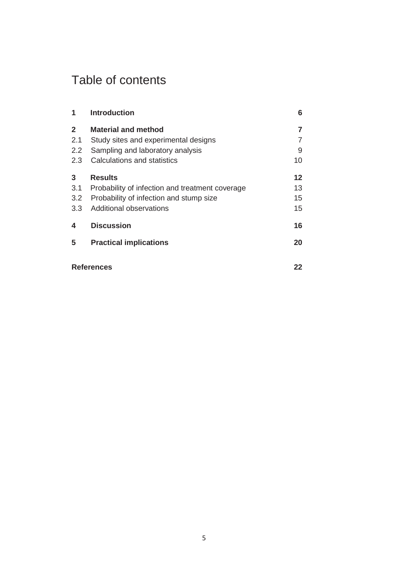# Table of contents

| 1            | <b>Introduction</b>                             | 6       |
|--------------|-------------------------------------------------|---------|
| $\mathbf{2}$ | <b>Material and method</b>                      | 7       |
| 2.1          | Study sites and experimental designs            |         |
| 2.2          | Sampling and laboratory analysis                | 9       |
| 2.3          | Calculations and statistics                     | 10      |
| 3            | <b>Results</b>                                  | $12 \,$ |
| 3.1          | Probability of infection and treatment coverage | 13      |
| 3.2          | Probability of infection and stump size         | 15      |
| 3.3          | Additional observations                         | 15      |
| 4            | <b>Discussion</b>                               | 16      |
| 5            | <b>Practical implications</b>                   | 20      |
|              | <b>References</b>                               | 22      |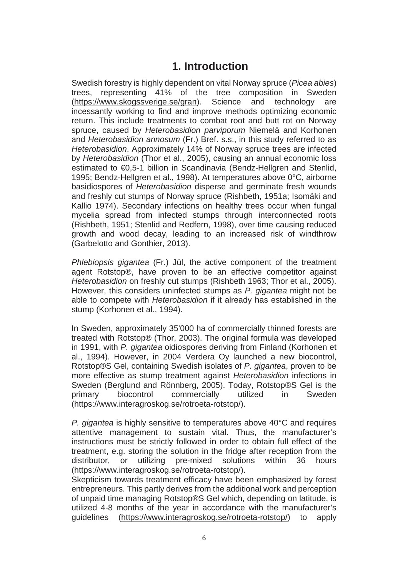## **1. Introduction**

Swedish forestry is highly dependent on vital Norway spruce (*Picea abies*) trees, representing 41% of the tree composition in Sweden [\(https://www.skogssverige.se/gran\)](https://www.skogssverige.se/gran). Science and technology are incessantly working to find and improve methods optimizing economic return. This include treatments to combat root and butt rot on Norway spruce, caused by *Heterobasidion parviporum* Niemelä and Korhonen and *Heterobasidion annosum* (Fr.) Bref. s.s., in this study referred to as *Heterobasidion*. Approximately 14% of Norway spruce trees are infected by *Heterobasidion* (Thor et al., 2005), causing an annual economic loss estimated to €0,5-1 billion in Scandinavia (Bendz-Hellgren and Stenlid, 1995; Bendz-Hellgren et al., 1998). At temperatures above 0°C, airborne basidiospores of *Heterobasidion* disperse and germinate fresh wounds and freshly cut stumps of Norway spruce (Rishbeth, 1951a; Isomäki and Kallio 1974). Secondary infections on healthy trees occur when fungal mycelia spread from infected stumps through interconnected roots (Rishbeth, 1951; Stenlid and Redfern, 1998), over time causing reduced growth and wood decay, leading to an increased risk of windthrow (Garbelotto and Gonthier, 2013).

*Phlebiopsis gigantea* (Fr.) Jül, the active component of the treatment agent Rotstop®, have proven to be an effective competitor against *Heterobasidion* on freshly cut stumps (Rishbeth 1963; Thor et al., 2005). However, this considers uninfected stumps as *P. gigantea* might not be able to compete with *Heterobasidion* if it already has established in the stump (Korhonen et al., 1994).

In Sweden, approximately 35'000 ha of commercially thinned forests are treated with Rotstop® (Thor, 2003). The original formula was developed in 1991, with *P. gigantea* oidiospores deriving from Finland (Korhonen et al., 1994). However, in 2004 Verdera Oy launched a new biocontrol, Rotstop®S Gel, containing Swedish isolates of *P. gigantea*, proven to be more effective as stump treatment against *Heterobasidion* infections in Sweden (Berglund and Rönnberg, 2005). Today, Rotstop®S Gel is the nrimary biocontrol commercially utilized in Sweden primary biocontrol commercially utilized in Sweden [\(https://www.interagroskog.se/rotroeta-rotstop/\)](https://www.interagroskog.se/rotroeta-rotstop/).

*P. gigantea* is highly sensitive to temperatures above 40°C and requires attentive management to sustain vital. Thus, the manufacturer's instructions must be strictly followed in order to obtain full effect of the treatment, e.g. storing the solution in the fridge after reception from the distributor, or utilizing pre-mixed solutions within 36 hours [\(https://www.interagroskog.se/rotroeta-rotstop/\)](https://www.interagroskog.se/rotroeta-rotstop/).

Skepticism towards treatment efficacy have been emphasized by forest entrepreneurs. This partly derives from the additional work and perception of unpaid time managing Rotstop®S Gel which, depending on latitude, is utilized 4-8 months of the year in accordance with the manufacturer's guidelines [\(https://www.interagroskog.se/rotroeta-rotstop/\)](https://www.interagroskog.se/rotroeta-rotstop/) to apply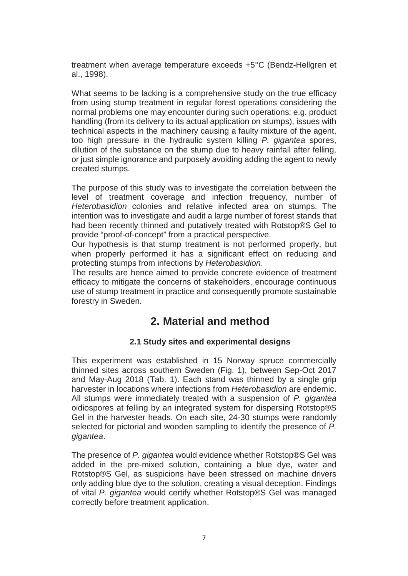treatment when average temperature exceeds +5°C (Bendz-Hellgren et al., 1998).

What seems to be lacking is a comprehensive study on the true efficacy from using stump treatment in regular forest operations considering the normal problems one may encounter during such operations; e.g. product handling (from its delivery to its actual application on stumps), issues with technical aspects in the machinery causing a faulty mixture of the agent, too high pressure in the hydraulic system killing *P. gigantea* spores, dilution of the substance on the stump due to heavy rainfall after felling, or just simple ignorance and purposely avoiding adding the agent to newly created stumps.

The purpose of this study was to investigate the correlation between the level of treatment coverage and infection frequency, number of *Heterobasidion* colonies and relative infected area on stumps. The intention was to investigate and audit a large number of forest stands that had been recently thinned and putatively treated with Rotstop®S Gel to provide "proof-of-concept" from a practical perspective.

Our hypothesis is that stump treatment is not performed properly, but when properly performed it has a significant effect on reducing and protecting stumps from infections by *Heterobasidion*.

The results are hence aimed to provide concrete evidence of treatment efficacy to mitigate the concerns of stakeholders, encourage continuous use of stump treatment in practice and consequently promote sustainable forestry in Sweden.

## **2. Material and method**

#### **2.1 Study sites and experimental designs**

This experiment was established in 15 Norway spruce commercially thinned sites across southern Sweden (Fig. 1), between Sep-Oct 2017 and May-Aug 2018 (Tab. 1). Each stand was thinned by a single grip harvester in locations where infections from *Heterobasidion* are endemic. All stumps were immediately treated with a suspension of *P. gigantea*  oidiospores at felling by an integrated system for dispersing Rotstop®S Gel in the harvester heads. On each site, 24-30 stumps were randomly selected for pictorial and wooden sampling to identify the presence of *P. gigantea*.

The presence of *P. gigantea* would evidence whether Rotstop®S Gel was added in the pre-mixed solution, containing a blue dye, water and Rotstop®S Gel, as suspicions have been stressed on machine drivers only adding blue dye to the solution, creating a visual deception. Findings of vital *P. gigantea* would certify whether Rotstop®S Gel was managed correctly before treatment application.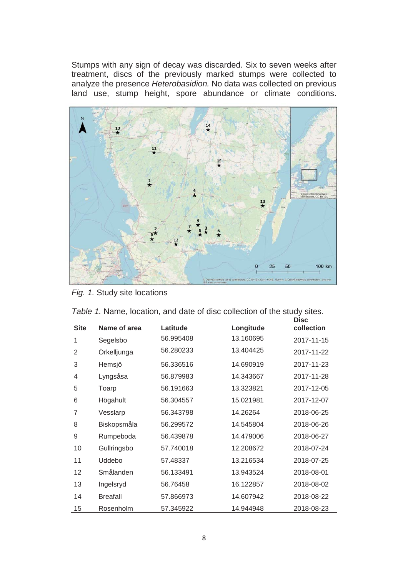Stumps with any sign of decay was discarded. Six to seven weeks after treatment, discs of the previously marked stumps were collected to analyze the presence *Heterobasidion.* No data was collected on previous land use, stump height, spore abundance or climate conditions.



*Fig. 1.* Study site locations

|  | Table 1. Name, location, and date of disc collection of the study sites. |  |  |  |  |      |  |
|--|--------------------------------------------------------------------------|--|--|--|--|------|--|
|  |                                                                          |  |  |  |  | Diec |  |

| <b>Site</b> | Name of area    | Latitude  | Longitude | טכוש<br>collection |
|-------------|-----------------|-----------|-----------|--------------------|
| 1           | Segelsbo        | 56.995408 | 13.160695 | 2017-11-15         |
| 2           | Örkelljunga     | 56.280233 | 13.404425 | 2017-11-22         |
| 3           | Hemsjö          | 56.336516 | 14.690919 | 2017-11-23         |
| 4           | Lyngsåsa        | 56.879983 | 14.343667 | 2017-11-28         |
| 5           | Toarp           | 56.191663 | 13.323821 | 2017-12-05         |
| 6           | Högahult        | 56.304557 | 15.021981 | 2017-12-07         |
| 7           | Vesslarp        | 56.343798 | 14.26264  | 2018-06-25         |
| 8           | Biskopsmåla     | 56.299572 | 14.545804 | 2018-06-26         |
| 9           | Rumpeboda       | 56.439878 | 14.479006 | 2018-06-27         |
| 10          | Gullringsbo     | 57.740018 | 12.208672 | 2018-07-24         |
| 11          | Uddebo          | 57.48337  | 13.216534 | 2018-07-25         |
| 12          | Smålanden       | 56.133491 | 13.943524 | 2018-08-01         |
| 13          | Ingelsryd       | 56.76458  | 16.122857 | 2018-08-02         |
| 14          | <b>Breafall</b> | 57.866973 | 14.607942 | 2018-08-22         |
| 15          | Rosenholm       | 57.345922 | 14.944948 | 2018-08-23         |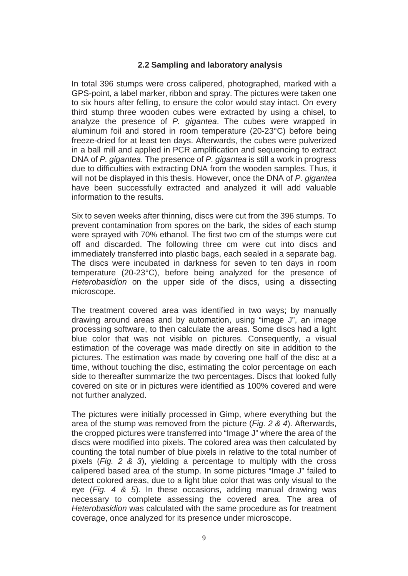#### **2.2 Sampling and laboratory analysis**

In total 396 stumps were cross calipered, photographed, marked with a GPS-point, a label marker, ribbon and spray. The pictures were taken one to six hours after felling, to ensure the color would stay intact. On every third stump three wooden cubes were extracted by using a chisel, to analyze the presence of *P. gigantea*. The cubes were wrapped in aluminum foil and stored in room temperature (20-23°C) before being freeze-dried for at least ten days. Afterwards, the cubes were pulverized in a ball mill and applied in PCR amplification and sequencing to extract DNA of *P. gigantea*. The presence of *P. gigantea* is still a work in progress due to difficulties with extracting DNA from the wooden samples. Thus, it will not be displayed in this thesis. However, once the DNA of *P. gigantea* have been successfully extracted and analyzed it will add valuable information to the results.

Six to seven weeks after thinning, discs were cut from the 396 stumps. To prevent contamination from spores on the bark, the sides of each stump were sprayed with 70% ethanol. The first two cm of the stumps were cut off and discarded. The following three cm were cut into discs and immediately transferred into plastic bags, each sealed in a separate bag. The discs were incubated in darkness for seven to ten days in room temperature (20-23°C), before being analyzed for the presence of *Heterobasidion* on the upper side of the discs, using a dissecting microscope.

The treatment covered area was identified in two ways; by manually drawing around areas and by automation, using "image J", an image processing software, to then calculate the areas. Some discs had a light blue color that was not visible on pictures. Consequently, a visual estimation of the coverage was made directly on site in addition to the pictures. The estimation was made by covering one half of the disc at a time, without touching the disc, estimating the color percentage on each side to thereafter summarize the two percentages. Discs that looked fully covered on site or in pictures were identified as 100% covered and were not further analyzed.

The pictures were initially processed in Gimp, where everything but the area of the stump was removed from the picture (*Fig. 2 & 4*). Afterwards, the cropped pictures were transferred into "Image J" where the area of the discs were modified into pixels. The colored area was then calculated by counting the total number of blue pixels in relative to the total number of pixels (*Fig. 2 & 3*), yielding a percentage to multiply with the cross calipered based area of the stump. In some pictures "Image J" failed to detect colored areas, due to a light blue color that was only visual to the eye (*Fig. 4 & 5*). In these occasions, adding manual drawing was necessary to complete assessing the covered area. The area of *Heterobasidion* was calculated with the same procedure as for treatment coverage, once analyzed for its presence under microscope.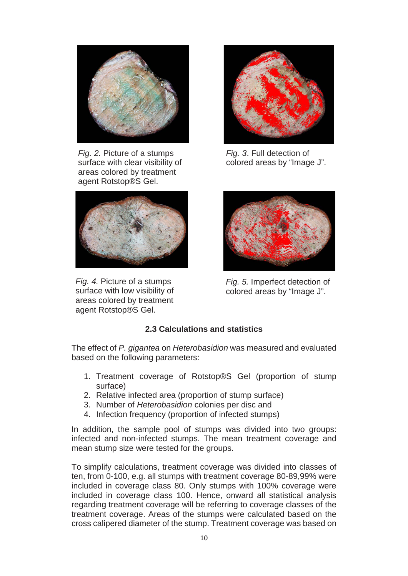

*Fig. 2.* Picture of a stumps surface with clear visibility of areas colored by treatment agent Rotstop®S Gel.



*Fig. 4.* Picture of a stumps surface with low visibility of areas colored by treatment agent Rotstop®S Gel.



*Fig. 3*. Full detection of colored areas by "Image J".



*Fig. 5.* Imperfect detection of colored areas by "Image J".

#### **2.3 Calculations and statistics**

The effect of *P. gigantea* on *Heterobasidion* was measured and evaluated based on the following parameters:

- 1. Treatment coverage of Rotstop®S Gel (proportion of stump surface)
- 2. Relative infected area (proportion of stump surface)
- 3. Number of *Heterobasidion* colonies per disc and
- 4. Infection frequency (proportion of infected stumps)

In addition, the sample pool of stumps was divided into two groups: infected and non-infected stumps. The mean treatment coverage and mean stump size were tested for the groups.

To simplify calculations, treatment coverage was divided into classes of ten, from 0-100, e.g. all stumps with treatment coverage 80-89,99% were included in coverage class 80. Only stumps with 100% coverage were included in coverage class 100. Hence, onward all statistical analysis regarding treatment coverage will be referring to coverage classes of the treatment coverage. Areas of the stumps were calculated based on the cross calipered diameter of the stump. Treatment coverage was based on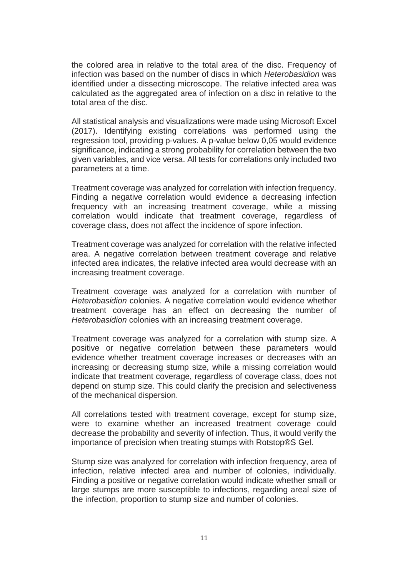the colored area in relative to the total area of the disc. Frequency of infection was based on the number of discs in which *Heterobasidion* was identified under a dissecting microscope. The relative infected area was calculated as the aggregated area of infection on a disc in relative to the total area of the disc.

All statistical analysis and visualizations were made using Microsoft Excel (2017). Identifying existing correlations was performed using the regression tool, providing p-values. A p-value below 0,05 would evidence significance, indicating a strong probability for correlation between the two given variables, and vice versa. All tests for correlations only included two parameters at a time.

Treatment coverage was analyzed for correlation with infection frequency. Finding a negative correlation would evidence a decreasing infection frequency with an increasing treatment coverage, while a missing correlation would indicate that treatment coverage, regardless of coverage class, does not affect the incidence of spore infection.

Treatment coverage was analyzed for correlation with the relative infected area. A negative correlation between treatment coverage and relative infected area indicates, the relative infected area would decrease with an increasing treatment coverage.

Treatment coverage was analyzed for a correlation with number of *Heterobasidion* colonies. A negative correlation would evidence whether treatment coverage has an effect on decreasing the number of *Heterobasidion* colonies with an increasing treatment coverage.

Treatment coverage was analyzed for a correlation with stump size. A positive or negative correlation between these parameters would evidence whether treatment coverage increases or decreases with an increasing or decreasing stump size, while a missing correlation would indicate that treatment coverage, regardless of coverage class, does not depend on stump size. This could clarify the precision and selectiveness of the mechanical dispersion.

All correlations tested with treatment coverage, except for stump size, were to examine whether an increased treatment coverage could decrease the probability and severity of infection. Thus, it would verify the importance of precision when treating stumps with Rotstop®S Gel.

Stump size was analyzed for correlation with infection frequency, area of infection, relative infected area and number of colonies, individually. Finding a positive or negative correlation would indicate whether small or large stumps are more susceptible to infections, regarding areal size of the infection, proportion to stump size and number of colonies.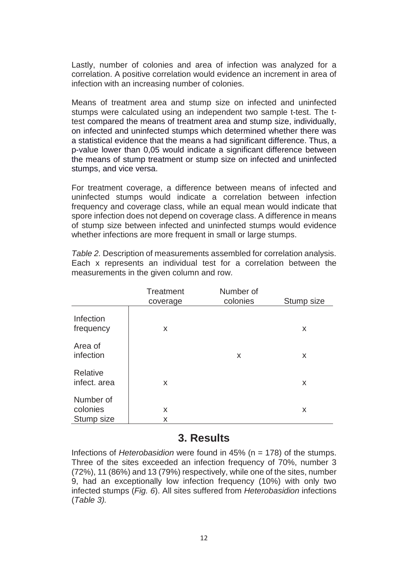Lastly, number of colonies and area of infection was analyzed for a correlation. A positive correlation would evidence an increment in area of infection with an increasing number of colonies.

Means of treatment area and stump size on infected and uninfected stumps were calculated using an independent two sample t-test. The ttest compared the means of treatment area and stump size, individually, on infected and uninfected stumps which determined whether there was a statistical evidence that the means a had significant difference. Thus, a p-value lower than 0,05 would indicate a significant difference between the means of stump treatment or stump size on infected and uninfected stumps, and vice versa.

For treatment coverage, a difference between means of infected and uninfected stumps would indicate a correlation between infection frequency and coverage class, while an equal mean would indicate that spore infection does not depend on coverage class. A difference in means of stump size between infected and uninfected stumps would evidence whether infections are more frequent in small or large stumps.

*Table 2.* Description of measurements assembled for correlation analysis. Each x represents an individual test for a correlation between the measurements in the given column and row.

|                                     | <b>Treatment</b><br>coverage | Number of<br>colonies | Stump size |
|-------------------------------------|------------------------------|-----------------------|------------|
| Infection<br>frequency              | X                            |                       | X          |
| Area of<br>infection                |                              | X                     | X          |
| Relative<br>infect. area            | X                            |                       | X          |
| Number of<br>colonies<br>Stump size | X<br>X                       |                       | X          |

## **3. Results**

Infections of *Heterobasidion* were found in 45% (n = 178) of the stumps. Three of the sites exceeded an infection frequency of 70%, number 3 (72%), 11 (86%) and 13 (79%) respectively, while one of the sites, number 9, had an exceptionally low infection frequency (10%) with only two infected stumps (*Fig. 6*). All sites suffered from *Heterobasidion* infections (*Table 3).*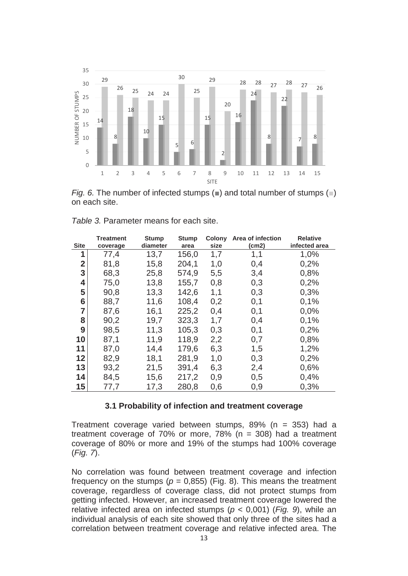

*Fig. 6.* The number of infected stumps (■) and total number of stumps (■) on each site.

| <b>Site</b>    | <b>Treatment</b><br>coverage | <b>Stump</b><br>diameter | <b>Stump</b><br>area | <b>Colony</b><br>size | Area of infection<br>(cm2) | <b>Relative</b><br>infected area |
|----------------|------------------------------|--------------------------|----------------------|-----------------------|----------------------------|----------------------------------|
| 1              | 77,4                         | 13,7                     | 156,0                | 1,7                   | 1,1                        | 1,0%                             |
| $\overline{2}$ | 81,8                         | 15,8                     | 204,1                | 1,0                   | 0,4                        | 0,2%                             |
| 3              | 68,3                         | 25,8                     | 574,9                | 5,5                   | 3,4                        | 0,8%                             |
| 4              | 75,0                         | 13,8                     | 155,7                | 0,8                   | 0,3                        | 0,2%                             |
| 5              | 90,8                         | 13,3                     | 142,6                | 1,1                   | 0,3                        | 0,3%                             |
| 6              | 88,7                         | 11,6                     | 108,4                | 0,2                   | 0,1                        | 0,1%                             |
| $\overline{7}$ | 87,6                         | 16,1                     | 225,2                | 0,4                   | 0,1                        | 0,0%                             |
| 8              | 90,2                         | 19,7                     | 323,3                | 1,7                   | 0,4                        | 0,1%                             |
| 9              | 98,5                         | 11,3                     | 105,3                | 0,3                   | 0,1                        | 0,2%                             |
| 10             | 87,1                         | 11,9                     | 118,9                | 2,2                   | 0,7                        | 0,8%                             |
| 11             | 87,0                         | 14,4                     | 179,6                | 6,3                   | 1,5                        | 1,2%                             |
| 12             | 82,9                         | 18,1                     | 281,9                | 1,0                   | 0,3                        | 0,2%                             |
| 13             | 93,2                         | 21,5                     | 391,4                | 6,3                   | 2,4                        | 0,6%                             |
| 14             | 84,5                         | 15,6                     | 217,2                | 0,9                   | 0,5                        | 0,4%                             |
| 15             | 77,7                         | 17,3                     | 280,8                | 0,6                   | 0,9                        | 0,3%                             |

| Table 3. Parameter means for each site. |
|-----------------------------------------|
|-----------------------------------------|

#### **3.1 Probability of infection and treatment coverage**

Treatment coverage varied between stumps, 89% (n = 353) had a treatment coverage of  $70\%$  or more,  $78\%$  (n = 308) had a treatment coverage of 80% or more and 19% of the stumps had 100% coverage (*Fig. 7*).

No correlation was found between treatment coverage and infection frequency on the stumps ( $p = 0.855$ ) (Fig. 8). This means the treatment coverage, regardless of coverage class, did not protect stumps from getting infected. However, an increased treatment coverage lowered the relative infected area on infected stumps (*p* < 0,001) (*Fig. 9*), while an individual analysis of each site showed that only three of the sites had a correlation between treatment coverage and relative infected area. The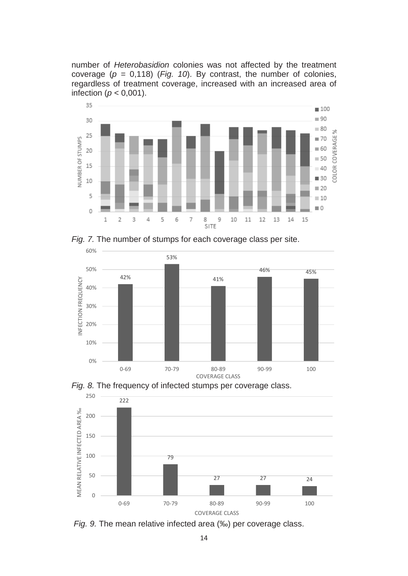number of *Heterobasidion* colonies was not affected by the treatment coverage  $(p = 0.118)$  (*Fig. 10*). By contrast, the number of colonies, regardless of treatment coverage, increased with an increased area of infection ( $p < 0.001$ ).



*Fig. 7.* The number of stumps for each coverage class per site.







*Fig. 9.* The mean relative infected area (‰) per coverage class.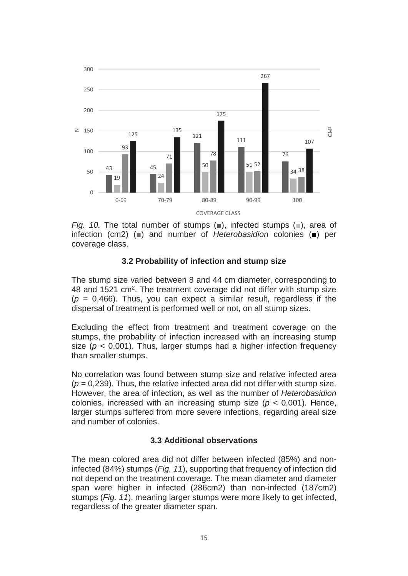

*Fig. 10.* The total number of stumps (■), infected stumps (■), area of infection (cm2) (■) and number of *Heterobasidion* colonies (■) per coverage class.

#### **3.2 Probability of infection and stump size**

The stump size varied between 8 and 44 cm diameter, corresponding to 48 and 1521 cm2. The treatment coverage did not differ with stump size  $(p = 0.466)$ . Thus, you can expect a similar result, regardless if the dispersal of treatment is performed well or not, on all stump sizes.

Excluding the effect from treatment and treatment coverage on the stumps, the probability of infection increased with an increasing stump size ( $p < 0.001$ ). Thus, larger stumps had a higher infection frequency than smaller stumps.

No correlation was found between stump size and relative infected area  $(p = 0.239)$ . Thus, the relative infected area did not differ with stump size. However, the area of infection, as well as the number of *Heterobasidion* colonies, increased with an increasing stump size  $(p < 0.001)$ . Hence, larger stumps suffered from more severe infections, regarding areal size and number of colonies.

#### **3.3 Additional observations**

The mean colored area did not differ between infected (85%) and noninfected (84%) stumps (*Fig. 11*), supporting that frequency of infection did not depend on the treatment coverage. The mean diameter and diameter span were higher in infected (286cm2) than non-infected (187cm2) stumps (*Fig. 11*), meaning larger stumps were more likely to get infected, regardless of the greater diameter span.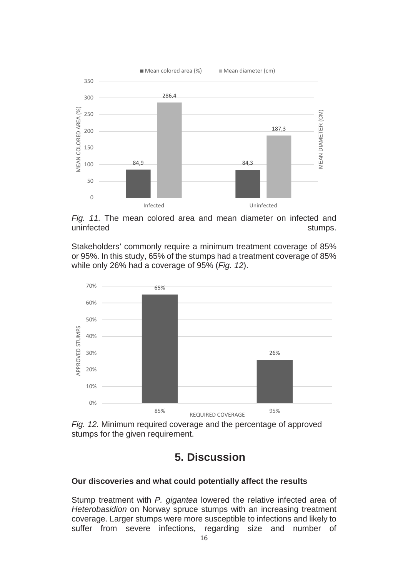

*Fig. 11.* The mean colored area and mean diameter on infected and uninfected stumps.

Stakeholders' commonly require a minimum treatment coverage of 85% or 95%. In this study, 65% of the stumps had a treatment coverage of 85% while only 26% had a coverage of 95% (*Fig. 12*).



*Fig. 12.* Minimum required coverage and the percentage of approved stumps for the given requirement.

## **5. Discussion**

#### **Our discoveries and what could potentially affect the results**

Stump treatment with *P. gigantea* lowered the relative infected area of *Heterobasidion* on Norway spruce stumps with an increasing treatment coverage. Larger stumps were more susceptible to infections and likely to suffer from severe infections, regarding size and number of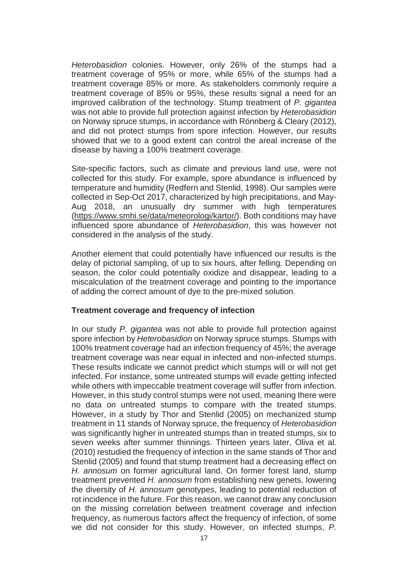*Heterobasidion* colonies. However, only 26% of the stumps had a treatment coverage of 95% or more, while 65% of the stumps had a treatment coverage 85% or more. As stakeholders commonly require a treatment coverage of 85% or 95%, these results signal a need for an improved calibration of the technology. Stump treatment of *P. gigantea*  was not able to provide full protection against infection by *Heterobasidion* on Norway spruce stumps, in accordance with Rönnberg & Cleary (2012), and did not protect stumps from spore infection. However, our results showed that we to a good extent can control the areal increase of the disease by having a 100% treatment coverage.

Site-specific factors, such as climate and previous land use, were not collected for this study. For example, spore abundance is influenced by temperature and humidity (Redfern and Stenlid, 1998). Our samples were collected in Sep-Oct 2017, characterized by high precipitations, and May-Aug 2018, an unusually dry summer with high temperatures [\(https://www.smhi.se/data/meteorologi/kartor/\)](https://www.smhi.se/data/meteorologi/kartor/). Both conditions may have influenced spore abundance of *Heterobasidion*, this was however not considered in the analysis of the study.

Another element that could potentially have influenced our results is the delay of pictorial sampling, of up to six hours, after felling. Depending on season, the color could potentially oxidize and disappear, leading to a miscalculation of the treatment coverage and pointing to the importance of adding the correct amount of dye to the pre-mixed solution.

#### **Treatment coverage and frequency of infection**

In our study *P. gigantea* was not able to provide full protection against spore infection by *Heterobasidion* on Norway spruce stumps. Stumps with 100% treatment coverage had an infection frequency of 45%; the average treatment coverage was near equal in infected and non-infected stumps. These results indicate we cannot predict which stumps will or will not get infected. For instance, some untreated stumps will evade getting infected while others with impeccable treatment coverage will suffer from infection. However, in this study control stumps were not used, meaning there were no data on untreated stumps to compare with the treated stumps. However, in a study by Thor and Stenlid (2005) on mechanized stump treatment in 11 stands of Norway spruce, the frequency of *Heterobasidion* was significantly higher in untreated stumps than in treated stumps, six to seven weeks after summer thinnings. Thirteen years later, Oliva et al. (2010) restudied the frequency of infection in the same stands of Thor and Stenlid (2005) and found that stump treatment had a decreasing effect on *H. annosum* on former agricultural land. On former forest land, stump treatment prevented *H. annosum* from establishing new genets, lowering the diversity of *H. annosum* genotypes, leading to potential reduction of rot incidence in the future. For this reason, we cannot draw any conclusion on the missing correlation between treatment coverage and infection frequency, as numerous factors affect the frequency of infection, of some we did not consider for this study. However, on infected stumps, *P.*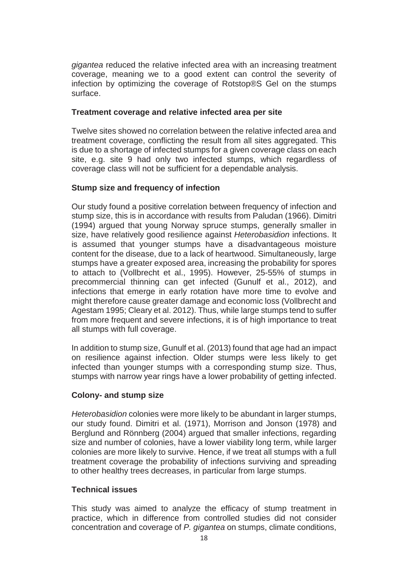*gigantea* reduced the relative infected area with an increasing treatment coverage, meaning we to a good extent can control the severity of infection by optimizing the coverage of Rotstop®S Gel on the stumps surface.

#### **Treatment coverage and relative infected area per site**

Twelve sites showed no correlation between the relative infected area and treatment coverage, conflicting the result from all sites aggregated. This is due to a shortage of infected stumps for a given coverage class on each site, e.g. site 9 had only two infected stumps, which regardless of coverage class will not be sufficient for a dependable analysis.

#### **Stump size and frequency of infection**

Our study found a positive correlation between frequency of infection and stump size, this is in accordance with results from Paludan (1966). Dimitri (1994) argued that young Norway spruce stumps, generally smaller in size, have relatively good resilience against *Heterobasidion* infections. It is assumed that younger stumps have a disadvantageous moisture content for the disease, due to a lack of heartwood. Simultaneously, large stumps have a greater exposed area, increasing the probability for spores to attach to (Vollbrecht et al., 1995). However, 25-55% of stumps in precommercial thinning can get infected (Gunulf et al., 2012), and infections that emerge in early rotation have more time to evolve and might therefore cause greater damage and economic loss (Vollbrecht and Agestam 1995; Cleary et al. 2012). Thus, while large stumps tend to suffer from more frequent and severe infections, it is of high importance to treat all stumps with full coverage.

In addition to stump size, Gunulf et al. (2013) found that age had an impact on resilience against infection. Older stumps were less likely to get infected than younger stumps with a corresponding stump size. Thus, stumps with narrow year rings have a lower probability of getting infected.

#### **Colony- and stump size**

*Heterobasidion* colonies were more likely to be abundant in larger stumps, our study found. Dimitri et al. (1971), Morrison and Jonson (1978) and Berglund and Rönnberg (2004) argued that smaller infections, regarding size and number of colonies, have a lower viability long term, while larger colonies are more likely to survive. Hence, if we treat all stumps with a full treatment coverage the probability of infections surviving and spreading to other healthy trees decreases, in particular from large stumps.

#### **Technical issues**

This study was aimed to analyze the efficacy of stump treatment in practice, which in difference from controlled studies did not consider concentration and coverage of *P. gigantea* on stumps, climate conditions,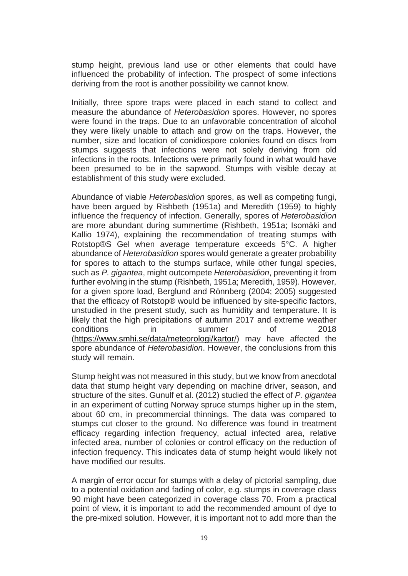stump height, previous land use or other elements that could have influenced the probability of infection. The prospect of some infections deriving from the root is another possibility we cannot know.

Initially, three spore traps were placed in each stand to collect and measure the abundance of *Heterobasidion* spores. However, no spores were found in the traps. Due to an unfavorable concentration of alcohol they were likely unable to attach and grow on the traps. However, the number, size and location of conidiospore colonies found on discs from stumps suggests that infections were not solely deriving from old infections in the roots. Infections were primarily found in what would have been presumed to be in the sapwood. Stumps with visible decay at establishment of this study were excluded.

Abundance of viable *Heterobasidion* spores, as well as competing fungi, have been argued by Rishbeth (1951a) and Meredith (1959) to highly influence the frequency of infection. Generally, spores of *Heterobasidion* are more abundant during summertime (Rishbeth, 1951a; Isomäki and Kallio 1974), explaining the recommendation of treating stumps with Rotstop®S Gel when average temperature exceeds 5°C. A higher abundance of *Heterobasidion* spores would generate a greater probability for spores to attach to the stumps surface, while other fungal species, such as *P. gigantea*, might outcompete *Heterobasidion*, preventing it from further evolving in the stump (Rishbeth, 1951a; Meredith, 1959). However, for a given spore load, Berglund and Rönnberg (2004; 2005) suggested that the efficacy of Rotstop® would be influenced by site-specific factors, unstudied in the present study, such as humidity and temperature. It is likely that the high precipitations of autumn 2017 and extreme weather conditions in summer of 2018 [\(https://www.smhi.se/data/meteorologi/kartor/\)](https://www.smhi.se/data/meteorologi/kartor/) may have affected the spore abundance of *Heterobasidion*. However, the conclusions from this study will remain.

Stump height was not measured in this study, but we know from anecdotal data that stump height vary depending on machine driver, season, and structure of the sites. Gunulf et al. (2012) studied the effect of *P. gigantea* in an experiment of cutting Norway spruce stumps higher up in the stem, about 60 cm, in precommercial thinnings. The data was compared to stumps cut closer to the ground. No difference was found in treatment efficacy regarding infection frequency, actual infected area, relative infected area, number of colonies or control efficacy on the reduction of infection frequency. This indicates data of stump height would likely not have modified our results.

A margin of error occur for stumps with a delay of pictorial sampling, due to a potential oxidation and fading of color, e.g. stumps in coverage class 90 might have been categorized in coverage class 70. From a practical point of view, it is important to add the recommended amount of dye to the pre-mixed solution. However, it is important not to add more than the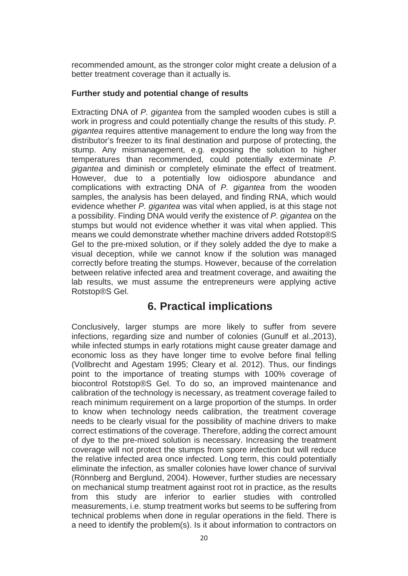recommended amount, as the stronger color might create a delusion of a better treatment coverage than it actually is.

#### **Further study and potential change of results**

Extracting DNA of *P. gigantea* from the sampled wooden cubes is still a work in progress and could potentially change the results of this study. *P. gigantea* requires attentive management to endure the long way from the distributor's freezer to its final destination and purpose of protecting, the stump. Any mismanagement, e.g. exposing the solution to higher temperatures than recommended, could potentially exterminate *P. gigantea* and diminish or completely eliminate the effect of treatment. However, due to a potentially low oidiospore abundance and complications with extracting DNA of *P. gigantea* from the wooden samples, the analysis has been delayed, and finding RNA, which would evidence whether *P. gigantea* was vital when applied, is at this stage not a possibility. Finding DNA would verify the existence of *P. gigantea* on the stumps but would not evidence whether it was vital when applied. This means we could demonstrate whether machine drivers added Rotstop®S Gel to the pre-mixed solution, or if they solely added the dye to make a visual deception, while we cannot know if the solution was managed correctly before treating the stumps. However, because of the correlation between relative infected area and treatment coverage, and awaiting the lab results, we must assume the entrepreneurs were applying active Rotstop®S Gel.

## **6. Practical implications**

Conclusively, larger stumps are more likely to suffer from severe infections, regarding size and number of colonies (Gunulf et al.,2013), while infected stumps in early rotations might cause greater damage and economic loss as they have longer time to evolve before final felling (Vollbrecht and Agestam 1995; Cleary et al. 2012). Thus, our findings point to the importance of treating stumps with 100% coverage of biocontrol Rotstop®S Gel. To do so, an improved maintenance and calibration of the technology is necessary, as treatment coverage failed to reach minimum requirement on a large proportion of the stumps. In order to know when technology needs calibration, the treatment coverage needs to be clearly visual for the possibility of machine drivers to make correct estimations of the coverage. Therefore, adding the correct amount of dye to the pre-mixed solution is necessary. Increasing the treatment coverage will not protect the stumps from spore infection but will reduce the relative infected area once infected. Long term, this could potentially eliminate the infection, as smaller colonies have lower chance of survival (Rönnberg and Berglund, 2004). However, further studies are necessary on mechanical stump treatment against root rot in practice, as the results from this study are inferior to earlier studies with controlled measurements, i.e. stump treatment works but seems to be suffering from technical problems when done in regular operations in the field. There is a need to identify the problem(s). Is it about information to contractors on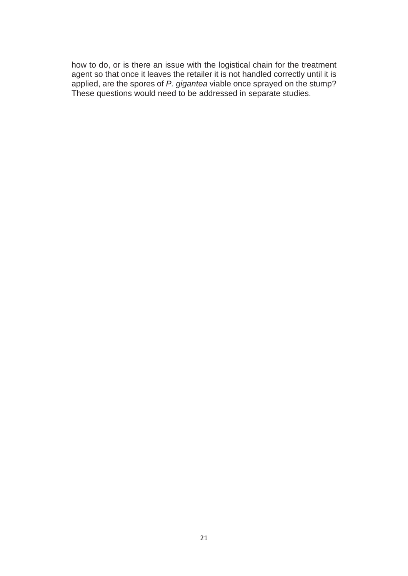how to do, or is there an issue with the logistical chain for the treatment agent so that once it leaves the retailer it is not handled correctly until it is applied, are the spores of *P. gigantea* viable once sprayed on the stump? These questions would need to be addressed in separate studies.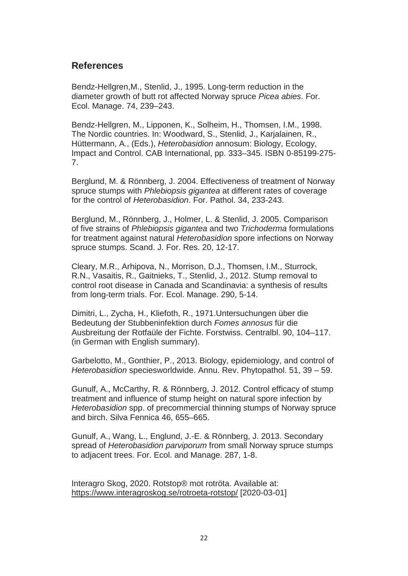### **References**

Bendz-Hellgren,M., Stenlid, J., 1995. Long-term reduction in the diameter growth of butt rot affected Norway spruce *Picea abies*. For. Ecol. Manage. 74, 239–243.

Bendz-Hellgren, M., Lipponen, K., Solheim, H., Thomsen, I.M., 1998. The Nordic countries. In: Woodward, S., Stenlid, J., Karjalainen, R., Hüttermann, A., (Eds.), *Heterobasidion* annosum: Biology, Ecology, Impact and Control. CAB International, pp. 333–345. ISBN 0-85199-275- 7.

Berglund, M. & Rönnberg, J. 2004. Effectiveness of treatment of Norway spruce stumps with *Phlebiopsis gigantea* at different rates of coverage for the control of *Heterobasidion*. For. Pathol. 34, 233-243.

Berglund, M., Rönnberg, J., Holmer, L. & Stenlid, J. 2005. Comparison of five strains of *Phlebiopsis gigantea* and two *Trichoderma* formulations for treatment against natural *Heterobasidion* spore infections on Norway spruce stumps. Scand. J. For. Res. 20, 12-17.

Cleary, M.R., Arhipova, N., Morrison, D.J., Thomsen, I.M., Sturrock, R.N., Vasaitis, R., Gaitnieks, T., Stenlid, J., 2012. Stump removal to control root disease in Canada and Scandinavia: a synthesis of results from long-term trials. For. Ecol. Manage. 290, 5-14.

Dimitri, L., Zycha, H., Kliefoth, R., 1971.Untersuchungen über die Bedeutung der Stubbeninfektion durch *Fomes annosus* für die Ausbreitung der Rotfaüle der Fichte. Forstwiss. Centralbl. 90, 104–117. (in German with English summary).

Garbelotto, M., Gonthier, P., 2013. Biology, epidemiology, and control of *Heterobasidion* speciesworldwide. Annu. Rev. Phytopathol. 51, 39 – 59.

Gunulf, A., McCarthy, R. & Rönnberg, J. 2012. Control efficacy of stump treatment and influence of stump height on natural spore infection by *Heterobasidion* spp. of precommercial thinning stumps of Norway spruce and birch. Silva Fennica 46, 655–665.

Gunulf, A., Wang, L., Englund, J.-E. & Rönnberg, J. 2013. Secondary spread of *Heterobasidion parviporum* from small Norway spruce stumps to adjacent trees. For. Ecol. and Manage. 287, 1-8.

Interagro Skog, 2020. Rotstop® mot rotröta. Available at: <https://www.interagroskog.se/rotroeta-rotstop/> [2020-03-01]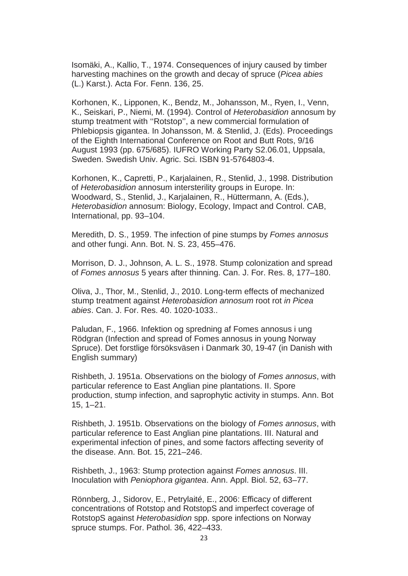Isomäki, A., Kallio, T., 1974. Consequences of injury caused by timber harvesting machines on the growth and decay of spruce (*Picea abies* (L.) Karst.). Acta For. Fenn. 136, 25.

Korhonen, K., Lipponen, K., Bendz, M., Johansson, M., Ryen, I., Venn, K., Seiskari, P., Niemi, M. (1994). Control of *Heterobasidion* annosum by stump treatment with ''Rotstop'', a new commercial formulation of Phlebiopsis gigantea. In Johansson, M. & Stenlid, J. (Eds). Proceedings of the Eighth International Conference on Root and Butt Rots, 9/16 August 1993 (pp. 675/685). IUFRO Working Party S2.06.01, Uppsala, Sweden. Swedish Univ. Agric. Sci. ISBN 91-5764803-4.

Korhonen, K., Capretti, P., Karjalainen, R., Stenlid, J., 1998. Distribution of *Heterobasidion* annosum intersterility groups in Europe. In: Woodward, S., Stenlid, J., Karjalainen, R., Hüttermann, A. (Eds.), *Heterobasidion* annosum: Biology, Ecology, Impact and Control. CAB, International, pp. 93–104.

Meredith, D. S., 1959. The infection of pine stumps by *Fomes annosus* and other fungi. Ann. Bot. N. S. 23, 455–476.

Morrison, D. J., Johnson, A. L. S., 1978. Stump colonization and spread of *Fomes annosus* 5 years after thinning. Can. J. For. Res. 8, 177–180.

Oliva, J., Thor, M., Stenlid, J., 2010. Long-term effects of mechanized stump treatment against *Heterobasidion annosum* root rot *in Picea abies*. Can. J. For. Res. 40. 1020-1033..

Paludan, F., 1966. Infektion og spredning af Fomes annosus i ung Rödgran (Infection and spread of Fomes annosus in young Norway Spruce). Det forstlige försöksväsen i Danmark 30, 19-47 (in Danish with English summary)

Rishbeth, J. 1951a. Observations on the biology of *Fomes annosus*, with particular reference to East Anglian pine plantations. II. Spore production, stump infection, and saprophytic activity in stumps. Ann. Bot 15, 1–21.

Rishbeth, J. 1951b. Observations on the biology of *Fomes annosus*, with particular reference to East Anglian pine plantations. III. Natural and experimental infection of pines, and some factors affecting severity of the disease. Ann. Bot. 15, 221–246.

Rishbeth, J., 1963: Stump protection against *Fomes annosus*. III. Inoculation with *Peniophora gigantea*. Ann. Appl. Biol. 52, 63–77.

Rönnberg, J., Sidorov, E., Petrylaité, E., 2006: Efficacy of different concentrations of Rotstop and RotstopS and imperfect coverage of RotstopS against *Heterobasidion* spp. spore infections on Norway spruce stumps. For. Pathol. 36, 422–433.